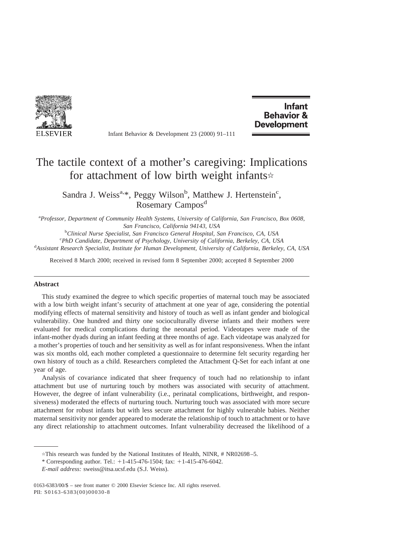

Infant Behavior & Development 23 (2000) 91–111

**Infant Behavior & Development** 

# The tactile context of a mother's caregiving: Implications for attachment of low birth weight infants $\star$

Sandra J. Weiss<sup>a,\*</sup>, Peggy Wilson<sup>b</sup>, Matthew J. Hertenstein<sup>c</sup>, Rosemary Campos<sup>d</sup>

a *Professor, Department of Community Health Systems, University of California, San Francisco, Box 0608, San Francisco, California 94143, USA* <sup>b</sup>

<sup>b</sup> Clinical Nurse Specialist, San Francisco General Hospital, San Francisco, CA, USA<br><sup>C</sup>PhD Candidate, Department of Psychology, University of California, Berkeley, CA, US <sup>c</sup>PhD Candidate, Department of Psychology, University of California, Berkeley, CA, USA *Assistant Research Specialist, Institute for Human Development, University of California, Berkeley, CA, USA*

Received 8 March 2000; received in revised form 8 September 2000; accepted 8 September 2000

#### **Abstract**

This study examined the degree to which specific properties of maternal touch may be associated with a low birth weight infant's security of attachment at one year of age, considering the potential modifying effects of maternal sensitivity and history of touch as well as infant gender and biological vulnerability. One hundred and thirty one socioculturally diverse infants and their mothers were evaluated for medical complications during the neonatal period. Videotapes were made of the infant-mother dyads during an infant feeding at three months of age. Each videotape was analyzed for a mother's properties of touch and her sensitivity as well as for infant responsiveness. When the infant was six months old, each mother completed a questionnaire to determine felt security regarding her own history of touch as a child. Researchers completed the Attachment Q-Set for each infant at one year of age.

Analysis of covariance indicated that sheer frequency of touch had no relationship to infant attachment but use of nurturing touch by mothers was associated with security of attachment. However, the degree of infant vulnerability (i.e., perinatal complications, birthweight, and responsiveness) moderated the effects of nurturing touch. Nurturing touch was associated with more secure attachment for robust infants but with less secure attachment for highly vulnerable babies. Neither maternal sensitivity nor gender appeared to moderate the relationship of touch to attachment or to have any direct relationship to attachment outcomes. Infant vulnerability decreased the likelihood of a

 $\star$ This research was funded by the National Institutes of Health, NINR, # NR02698-5.

<sup>\*</sup> Corresponding author. Tel.:  $+1-415-476-1504$ ; fax:  $+1-415-476-6042$ .

*E-mail address:* sweiss@itsa.ucsf.edu (S.J. Weiss).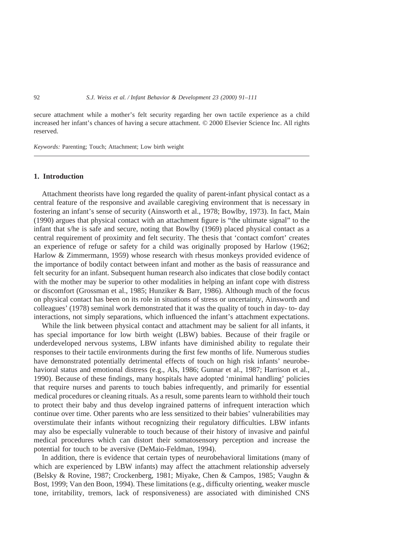secure attachment while a mother's felt security regarding her own tactile experience as a child increased her infant's chances of having a secure attachment. © 2000 Elsevier Science Inc. All rights reserved.

*Keywords:* Parenting; Touch; Attachment; Low birth weight

# **1. Introduction**

Attachment theorists have long regarded the quality of parent-infant physical contact as a central feature of the responsive and available caregiving environment that is necessary in fostering an infant's sense of security (Ainsworth et al., 1978; Bowlby, 1973). In fact, Main (1990) argues that physical contact with an attachment figure is "the ultimate signal" to the infant that s/he is safe and secure, noting that Bowlby (1969) placed physical contact as a central requirement of proximity and felt security. The thesis that 'contact comfort' creates an experience of refuge or safety for a child was originally proposed by Harlow (1962; Harlow & Zimmermann, 1959) whose research with rhesus monkeys provided evidence of the importance of bodily contact between infant and mother as the basis of reassurance and felt security for an infant. Subsequent human research also indicates that close bodily contact with the mother may be superior to other modalities in helping an infant cope with distress or discomfort (Grossman et al., 1985; Hunziker & Barr, 1986). Although much of the focus on physical contact has been on its role in situations of stress or uncertainty, Ainsworth and colleagues' (1978) seminal work demonstrated that it was the quality of touch in day- to- day interactions, not simply separations, which influenced the infant's attachment expectations.

While the link between physical contact and attachment may be salient for all infants, it has special importance for low birth weight (LBW) babies. Because of their fragile or underdeveloped nervous systems, LBW infants have diminished ability to regulate their responses to their tactile environments during the first few months of life. Numerous studies have demonstrated potentially detrimental effects of touch on high risk infants' neurobehavioral status and emotional distress (e.g., Als, 1986; Gunnar et al., 1987; Harrison et al., 1990). Because of these findings, many hospitals have adopted 'minimal handling' policies that require nurses and parents to touch babies infrequently, and primarily for essential medical procedures or cleaning rituals. As a result, some parents learn to withhold their touch to protect their baby and thus develop ingrained patterns of infrequent interaction which continue over time. Other parents who are less sensitized to their babies' vulnerabilities may overstimulate their infants without recognizing their regulatory difficulties. LBW infants may also be especially vulnerable to touch because of their history of invasive and painful medical procedures which can distort their somatosensory perception and increase the potential for touch to be aversive (DeMaio-Feldman, 1994).

In addition, there is evidence that certain types of neurobehavioral limitations (many of which are experienced by LBW infants) may affect the attachment relationship adversely (Belsky & Rovine, 1987; Crockenberg, 1981; Miyake, Chen & Campos, 1985; Vaughn & Bost, 1999; Van den Boon, 1994). These limitations (e.g., difficulty orienting, weaker muscle tone, irritability, tremors, lack of responsiveness) are associated with diminished CNS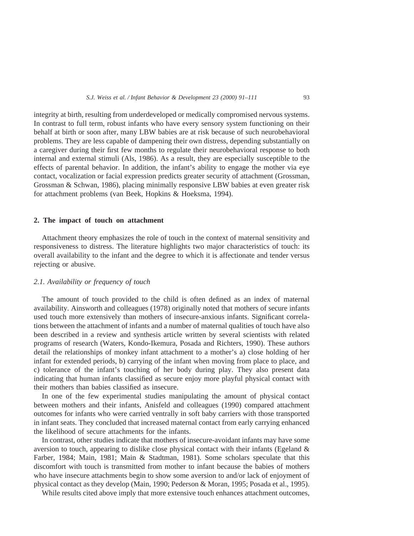integrity at birth, resulting from underdeveloped or medically compromised nervous systems. In contrast to full term, robust infants who have every sensory system functioning on their behalf at birth or soon after, many LBW babies are at risk because of such neurobehavioral problems. They are less capable of dampening their own distress, depending substantially on a caregiver during their first few months to regulate their neurobehavioral response to both internal and external stimuli (Als, 1986). As a result, they are especially susceptible to the effects of parental behavior. In addition, the infant's ability to engage the mother via eye contact, vocalization or facial expression predicts greater security of attachment (Grossman, Grossman & Schwan, 1986), placing minimally responsive LBW babies at even greater risk for attachment problems (van Beek, Hopkins & Hoeksma, 1994).

## **2. The impact of touch on attachment**

Attachment theory emphasizes the role of touch in the context of maternal sensitivity and responsiveness to distress. The literature highlights two major characteristics of touch: its overall availability to the infant and the degree to which it is affectionate and tender versus rejecting or abusive.

# *2.1. Availability or frequency of touch*

The amount of touch provided to the child is often defined as an index of maternal availability. Ainsworth and colleagues (1978) originally noted that mothers of secure infants used touch more extensively than mothers of insecure-anxious infants. Significant correlations between the attachment of infants and a number of maternal qualities of touch have also been described in a review and synthesis article written by several scientists with related programs of research (Waters, Kondo-Ikemura, Posada and Richters, 1990). These authors detail the relationships of monkey infant attachment to a mother's a) close holding of her infant for extended periods, b) carrying of the infant when moving from place to place, and c) tolerance of the infant's touching of her body during play. They also present data indicating that human infants classified as secure enjoy more playful physical contact with their mothers than babies classified as insecure.

In one of the few experimental studies manipulating the amount of physical contact between mothers and their infants, Anisfeld and colleagues (1990) compared attachment outcomes for infants who were carried ventrally in soft baby carriers with those transported in infant seats. They concluded that increased maternal contact from early carrying enhanced the likelihood of secure attachments for the infants.

In contrast, other studies indicate that mothers of insecure-avoidant infants may have some aversion to touch, appearing to dislike close physical contact with their infants (Egeland  $\&$ Farber, 1984; Main, 1981; Main & Stadtman, 1981). Some scholars speculate that this discomfort with touch is transmitted from mother to infant because the babies of mothers who have insecure attachments begin to show some aversion to and/or lack of enjoyment of physical contact as they develop (Main, 1990; Pederson & Moran, 1995; Posada et al., 1995).

While results cited above imply that more extensive touch enhances attachment outcomes,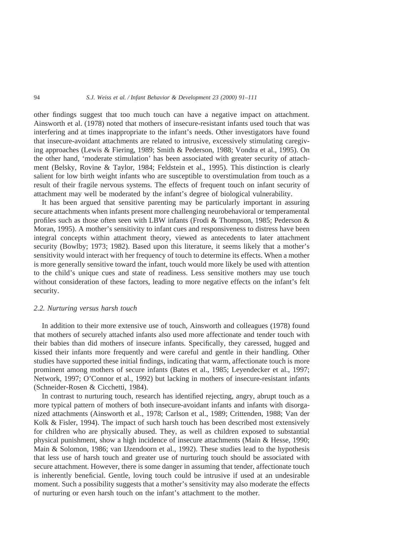other findings suggest that too much touch can have a negative impact on attachment. Ainsworth et al. (1978) noted that mothers of insecure-resistant infants used touch that was interfering and at times inappropriate to the infant's needs. Other investigators have found that insecure-avoidant attachments are related to intrusive, excessively stimulating caregiving approaches (Lewis & Fiering, 1989; Smith & Pederson, 1988; Vondra et al., 1995). On the other hand, 'moderate stimulation' has been associated with greater security of attachment (Belsky, Rovine & Taylor, 1984; Feldstein et al., 1995). This distinction is clearly salient for low birth weight infants who are susceptible to overstimulation from touch as a result of their fragile nervous systems. The effects of frequent touch on infant security of attachment may well be moderated by the infant's degree of biological vulnerability.

It has been argued that sensitive parenting may be particularly important in assuring secure attachments when infants present more challenging neurobehavioral or temperamental profiles such as those often seen with LBW infants (Frodi & Thompson, 1985; Pederson & Moran, 1995). A mother's sensitivity to infant cues and responsiveness to distress have been integral concepts within attachment theory, viewed as antecedents to later attachment security (Bowlby; 1973; 1982). Based upon this literature, it seems likely that a mother's sensitivity would interact with her frequency of touch to determine its effects. When a mother is more generally sensitive toward the infant, touch would more likely be used with attention to the child's unique cues and state of readiness. Less sensitive mothers may use touch without consideration of these factors, leading to more negative effects on the infant's felt security.

#### *2.2. Nurturing versus harsh touch*

In addition to their more extensive use of touch, Ainsworth and colleagues (1978) found that mothers of securely attached infants also used more affectionate and tender touch with their babies than did mothers of insecure infants. Specifically, they caressed, hugged and kissed their infants more frequently and were careful and gentle in their handling. Other studies have supported these initial findings, indicating that warm, affectionate touch is more prominent among mothers of secure infants (Bates et al., 1985; Leyendecker et al., 1997; Network, 1997; O'Connor et al., 1992) but lacking in mothers of insecure-resistant infants (Schneider-Rosen & Cicchetti, 1984).

In contrast to nurturing touch, research has identified rejecting, angry, abrupt touch as a more typical pattern of mothers of both insecure-avoidant infants and infants with disorganized attachments (Ainsworth et al., 1978; Carlson et al., 1989; Crittenden, 1988; Van der Kolk & Fisler, 1994). The impact of such harsh touch has been described most extensively for children who are physically abused. They, as well as children exposed to substantial physical punishment, show a high incidence of insecure attachments (Main & Hesse, 1990; Main & Solomon, 1986; van IJzendoorn et al., 1992). These studies lead to the hypothesis that less use of harsh touch and greater use of nurturing touch should be associated with secure attachment. However, there is some danger in assuming that tender, affectionate touch is inherently beneficial. Gentle, loving touch could be intrusive if used at an undesirable moment. Such a possibility suggests that a mother's sensitivity may also moderate the effects of nurturing or even harsh touch on the infant's attachment to the mother.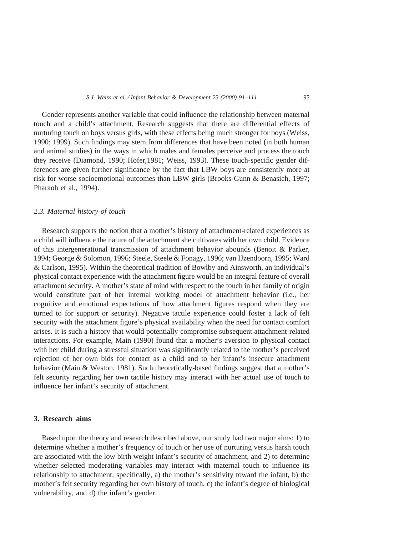Gender represents another variable that could influence the relationship between maternal touch and a child's attachment. Research suggests that there are differential effects of nurturing touch on boys versus girls, with these effects being much stronger for boys (Weiss, 1990; 1999). Such findings may stem from differences that have been noted (in both human and animal studies) in the ways in which males and females perceive and process the touch they receive (Diamond, 1990; Hofer,1981; Weiss, 1993). These touch-specific gender differences are given further significance by the fact that LBW boys are consistently more at risk for worse socioemotional outcomes than LBW girls (Brooks-Gunn & Benasich, 1997; Pharaoh et al., 1994).

#### *2.3. Maternal history of touch*

Research supports the notion that a mother's history of attachment-related experiences as a child will influence the nature of the attachment she cultivates with her own child. Evidence of this intergenerational transmission of attachment behavior abounds (Benoit & Parker, 1994; George & Solomon, 1996; Steele, Steele & Fonagy, 1996; van IJzendoorn, 1995; Ward & Carlson, 1995). Within the theoretical tradition of Bowlby and Ainsworth, an individual's physical contact experience with the attachment figure would be an integral feature of overall attachment security. A mother's state of mind with respect to the touch in her family of origin would constitute part of her internal working model of attachment behavior (i.e., her cognitive and emotional expectations of how attachment figures respond when they are turned to for support or security). Negative tactile experience could foster a lack of felt security with the attachment figure's physical availability when the need for contact comfort arises. It is such a history that would potentially compromise subsequent attachment-related interactions. For example, Main (1990) found that a mother's aversion to physical contact with her child during a stressful situation was significantly related to the mother's perceived rejection of her own bids for contact as a child and to her infant's insecure attachment behavior (Main & Weston, 1981). Such theoretically-based findings suggest that a mother's felt security regarding her own tactile history may interact with her actual use of touch to influence her infant's security of attachment.

#### **3. Research aims**

Based upon the theory and research described above, our study had two major aims: 1) to determine whether a mother's frequency of touch or her use of nurturing versus harsh touch are associated with the low birth weight infant's security of attachment, and 2) to determine whether selected moderating variables may interact with maternal touch to influence its relationship to attachment: specifically, a) the mother's sensitivity toward the infant, b) the mother's felt security regarding her own history of touch, c) the infant's degree of biological vulnerability, and d) the infant's gender.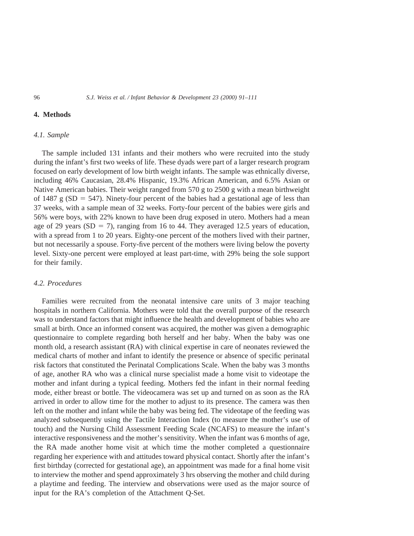# **4. Methods**

### *4.1. Sample*

The sample included 131 infants and their mothers who were recruited into the study during the infant's first two weeks of life. These dyads were part of a larger research program focused on early development of low birth weight infants. The sample was ethnically diverse, including 46% Caucasian, 28.4% Hispanic, 19.3% African American, and 6.5% Asian or Native American babies. Their weight ranged from 570 g to 2500 g with a mean birthweight of 1487 g (SD = 547). Ninety-four percent of the babies had a gestational age of less than 37 weeks, with a sample mean of 32 weeks. Forty-four percent of the babies were girls and 56% were boys, with 22% known to have been drug exposed in utero. Mothers had a mean age of 29 years (SD = 7), ranging from 16 to 44. They averaged 12.5 years of education, with a spread from 1 to 20 years. Eighty-one percent of the mothers lived with their partner, but not necessarily a spouse. Forty-five percent of the mothers were living below the poverty level. Sixty-one percent were employed at least part-time, with 29% being the sole support for their family.

# *4.2. Procedures*

Families were recruited from the neonatal intensive care units of 3 major teaching hospitals in northern California. Mothers were told that the overall purpose of the research was to understand factors that might influence the health and development of babies who are small at birth. Once an informed consent was acquired, the mother was given a demographic questionnaire to complete regarding both herself and her baby. When the baby was one month old, a research assistant (RA) with clinical expertise in care of neonates reviewed the medical charts of mother and infant to identify the presence or absence of specific perinatal risk factors that constituted the Perinatal Complications Scale. When the baby was 3 months of age, another RA who was a clinical nurse specialist made a home visit to videotape the mother and infant during a typical feeding. Mothers fed the infant in their normal feeding mode, either breast or bottle. The videocamera was set up and turned on as soon as the RA arrived in order to allow time for the mother to adjust to its presence. The camera was then left on the mother and infant while the baby was being fed. The videotape of the feeding was analyzed subsequently using the Tactile Interaction Index (to measure the mother's use of touch) and the Nursing Child Assessment Feeding Scale (NCAFS) to measure the infant's interactive responsiveness and the mother's sensitivity. When the infant was 6 months of age, the RA made another home visit at which time the mother completed a questionnaire regarding her experience with and attitudes toward physical contact. Shortly after the infant's first birthday (corrected for gestational age), an appointment was made for a final home visit to interview the mother and spend approximately 3 hrs observing the mother and child during a playtime and feeding. The interview and observations were used as the major source of input for the RA's completion of the Attachment Q-Set.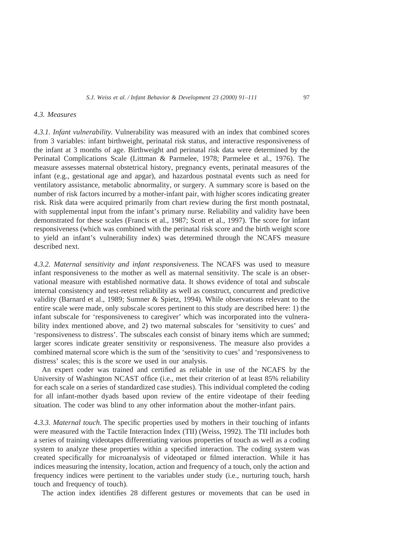# *4.3. Measures*

*4.3.1. Infant vulnerability.* Vulnerability was measured with an index that combined scores from 3 variables: infant birthweight, perinatal risk status, and interactive responsiveness of the infant at 3 months of age. Birthweight and perinatal risk data were determined by the Perinatal Complications Scale (Littman & Parmelee, 1978; Parmelee et al., 1976). The measure assesses maternal obstetrical history, pregnancy events, perinatal measures of the infant (e.g., gestational age and apgar), and hazardous postnatal events such as need for ventilatory assistance, metabolic abnormality, or surgery. A summary score is based on the number of risk factors incurred by a mother-infant pair, with higher scores indicating greater risk. Risk data were acquired primarily from chart review during the first month postnatal, with supplemental input from the infant's primary nurse. Reliability and validity have been demonstrated for these scales (Francis et al., 1987; Scott et al., 1997). The score for infant responsiveness (which was combined with the perinatal risk score and the birth weight score to yield an infant's vulnerability index) was determined through the NCAFS measure described next.

*4.3.2. Maternal sensitivity and infant responsiveness.* The NCAFS was used to measure infant responsiveness to the mother as well as maternal sensitivity. The scale is an observational measure with established normative data. It shows evidence of total and subscale internal consistency and test-retest reliability as well as construct, concurrent and predictive validity (Barnard et al., 1989; Sumner & Spietz, 1994). While observations relevant to the entire scale were made, only subscale scores pertinent to this study are described here: 1) the infant subscale for 'responsiveness to caregiver' which was incorporated into the vulnerability index mentioned above, and 2) two maternal subscales for 'sensitivity to cues' and 'responsiveness to distress'. The subscales each consist of binary items which are summed; larger scores indicate greater sensitivity or responsiveness. The measure also provides a combined maternal score which is the sum of the 'sensitivity to cues' and 'responsiveness to distress' scales; this is the score we used in our analysis.

An expert coder was trained and certified as reliable in use of the NCAFS by the University of Washington NCAST office (i.e., met their criterion of at least 85% reliability for each scale on a series of standardized case studies). This individual completed the coding for all infant-mother dyads based upon review of the entire videotape of their feeding situation. The coder was blind to any other information about the mother-infant pairs.

*4.3.3. Maternal touch.* The specific properties used by mothers in their touching of infants were measured with the Tactile Interaction Index (TII) (Weiss, 1992). The TII includes both a series of training videotapes differentiating various properties of touch as well as a coding system to analyze these properties within a specified interaction. The coding system was created specifically for microanalysis of videotaped or filmed interaction. While it has indices measuring the intensity, location, action and frequency of a touch, only the action and frequency indices were pertinent to the variables under study (i.e., nurturing touch, harsh touch and frequency of touch).

The action index identifies 28 different gestures or movements that can be used in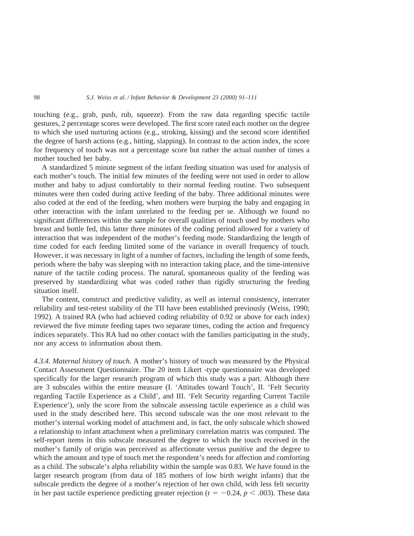touching (e.g., grab, push, rub, squeeze). From the raw data regarding specific tactile gestures, 2 percentage scores were developed. The first score rated each mother on the degree to which she used nurturing actions (e.g., stroking, kissing) and the second score identified the degree of harsh actions (e.g., hitting, slapping). In contrast to the action index, the score for frequency of touch was not a percentage score but rather the actual number of times a mother touched her baby.

A standardized 5 minute segment of the infant feeding situation was used for analysis of each mother's touch. The initial few minutes of the feeding were not used in order to allow mother and baby to adjust comfortably to their normal feeding routine. Two subsequent minutes were then coded during active feeding of the baby. Three additional minutes were also coded at the end of the feeding, when mothers were burping the baby and engaging in other interaction with the infant unrelated to the feeding per se. Although we found no significant differences within the sample for overall qualities of touch used by mothers who breast and bottle fed, this latter three minutes of the coding period allowed for a variety of interaction that was independent of the mother's feeding mode. Standardizing the length of time coded for each feeding limited some of the variance in overall frequency of touch. However, it was necessary in light of a number of factors, including the length of some feeds, periods where the baby was sleeping with no interaction taking place, and the time-intensive nature of the tactile coding process. The natural, spontaneous quality of the feeding was preserved by standardizing what was coded rather than rigidly structuring the feeding situation itself.

The content, construct and predictive validity, as well as internal consistency, interrater reliability and test-retest stability of the TII have been established previously (Weiss, 1990; 1992). A trained RA (who had achieved coding reliability of 0.92 or above for each index) reviewed the five minute feeding tapes two separate times, coding the action and frequency indices separately. This RA had no other contact with the families participating in the study, nor any access to information about them.

*4.3.4. Maternal history of touch.* A mother's history of touch was measured by the Physical Contact Assessment Questionnaire. The 20 item Likert -type questionnaire was developed specifically for the larger research program of which this study was a part. Although there are 3 subscales within the entire measure (I. 'Attitudes toward Touch', II. 'Felt Security regarding Tactile Experience as a Child', and III. 'Felt Security regarding Current Tactile Experience'), only the score from the subscale assessing tactile experience as a child was used in the study described here. This second subscale was the one most relevant to the mother's internal working model of attachment and, in fact, the only subscale which showed a relationship to infant attachment when a preliminary correlation matrix was computed. The self-report items in this subscale measured the degree to which the touch received in the mother's family of origin was perceived as affectionate versus punitive and the degree to which the amount and type of touch met the respondent's needs for affection and comforting as a child. The subscale's alpha reliability within the sample was 0.83. We have found in the larger research program (from data of 185 mothers of low birth weight infants) that the subscale predicts the degree of a mother's rejection of her own child, with less felt security in her past tactile experience predicting greater rejection ( $r = -0.24$ ,  $p < .003$ ). These data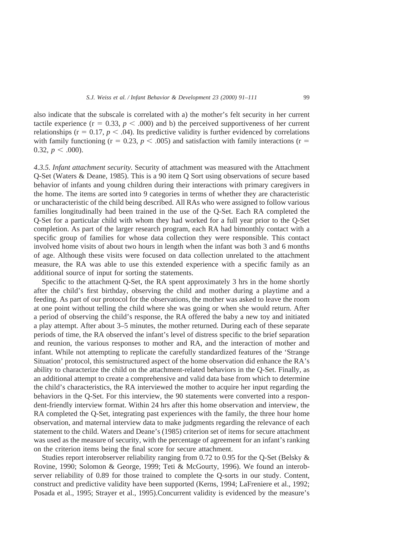also indicate that the subscale is correlated with a) the mother's felt security in her current tactile experience ( $r = 0.33$ ,  $p < .000$ ) and b) the perceived supportiveness of her current relationships ( $r = 0.17$ ,  $p < .04$ ). Its predictive validity is further evidenced by correlations with family functioning ( $r = 0.23$ ,  $p < .005$ ) and satisfaction with family interactions ( $r =$ 0.32,  $p < .000$ ).

*4.3.5. Infant attachment security.* Security of attachment was measured with the Attachment Q-Set (Waters & Deane, 1985). This is a 90 item Q Sort using observations of secure based behavior of infants and young children during their interactions with primary caregivers in the home. The items are sorted into 9 categories in terms of whether they are characteristic or uncharacteristic of the child being described. All RAs who were assigned to follow various families longitudinally had been trained in the use of the Q-Set. Each RA completed the Q-Set for a particular child with whom they had worked for a full year prior to the Q-Set completion. As part of the larger research program, each RA had bimonthly contact with a specific group of families for whose data collection they were responsible. This contact involved home visits of about two hours in length when the infant was both 3 and 6 months of age. Although these visits were focused on data collection unrelated to the attachment measure, the RA was able to use this extended experience with a specific family as an additional source of input for sorting the statements.

Specific to the attachment Q-Set, the RA spent approximately 3 hrs in the home shortly after the child's first birthday, observing the child and mother during a playtime and a feeding. As part of our protocol for the observations, the mother was asked to leave the room at one point without telling the child where she was going or when she would return. After a period of observing the child's response, the RA offered the baby a new toy and initiated a play attempt. After about 3–5 minutes, the mother returned. During each of these separate periods of time, the RA observed the infant's level of distress specific to the brief separation and reunion, the various responses to mother and RA, and the interaction of mother and infant. While not attempting to replicate the carefully standardized features of the 'Strange Situation' protocol, this semistructured aspect of the home observation did enhance the RA's ability to characterize the child on the attachment-related behaviors in the Q-Set. Finally, as an additional attempt to create a comprehensive and valid data base from which to determine the child's characteristics, the RA interviewed the mother to acquire her input regarding the behaviors in the Q-Set. For this interview, the 90 statements were converted into a respondent-friendly interview format. Within 24 hrs after this home observation and interview, the RA completed the Q-Set, integrating past experiences with the family, the three hour home observation, and maternal interview data to make judgments regarding the relevance of each statement to the child. Waters and Deane's (1985) criterion set of items for secure attachment was used as the measure of security, with the percentage of agreement for an infant's ranking on the criterion items being the final score for secure attachment.

Studies report interobserver reliability ranging from 0.72 to 0.95 for the Q-Set (Belsky & Rovine, 1990; Solomon & George, 1999; Teti & McGourty, 1996). We found an interobserver reliability of 0.89 for those trained to complete the Q-sorts in our study. Content, construct and predictive validity have been supported (Kerns, 1994; LaFreniere et al., 1992; Posada et al., 1995; Strayer et al., 1995).Concurrent validity is evidenced by the measure's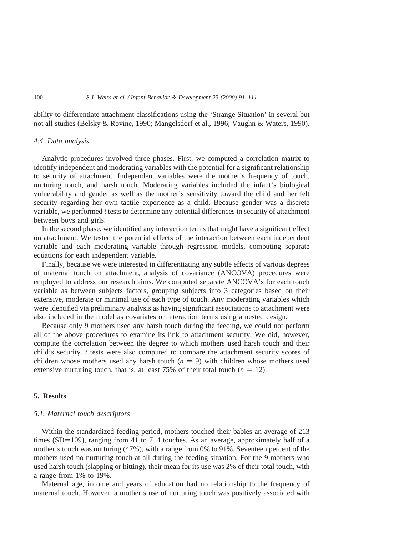ability to differentiate attachment classifications using the 'Strange Situation' in several but not all studies (Belsky & Rovine, 1990; Mangelsdorf et al., 1996; Vaughn & Waters, 1990).

# *4.4. Data analysis*

Analytic procedures involved three phases. First, we computed a correlation matrix to identify independent and moderating variables with the potential for a significant relationship to security of attachment. Independent variables were the mother's frequency of touch, nurturing touch, and harsh touch. Moderating variables included the infant's biological vulnerability and gender as well as the mother's sensitivity toward the child and her felt security regarding her own tactile experience as a child. Because gender was a discrete variable, we performed *t* tests to determine any potential differences in security of attachment between boys and girls.

In the second phase, we identified any interaction terms that might have a significant effect on attachment. We tested the potential effects of the interaction between each independent variable and each moderating variable through regression models, computing separate equations for each independent variable.

Finally, because we were interested in differentiating any subtle effects of various degrees of maternal touch on attachment, analysis of covariance (ANCOVA) procedures were employed to address our research aims. We computed separate ANCOVA's for each touch variable as between subjects factors, grouping subjects into 3 categories based on their extensive, moderate or minimal use of each type of touch. Any moderating variables which were identified via preliminary analysis as having significant associations to attachment were also included in the model as covariates or interaction terms using a nested design.

Because only 9 mothers used any harsh touch during the feeding, we could not perform all of the above procedures to examine its link to attachment security. We did, however, compute the correlation between the degree to which mothers used harsh touch and their child's security. *t* tests were also computed to compare the attachment security scores of children whose mothers used any harsh touch  $(n = 9)$  with children whose mothers used extensive nurturing touch, that is, at least  $75\%$  of their total touch ( $n = 12$ ).

# **5. Results**

#### *5.1. Maternal touch descriptors*

Within the standardized feeding period, mothers touched their babies an average of 213 times (SD=109), ranging from 41 to 714 touches. As an average, approximately half of a mother's touch was nurturing (47%), with a range from 0% to 91%. Seventeen percent of the mothers used no nurturing touch at all during the feeding situation. For the 9 mothers who used harsh touch (slapping or hitting), their mean for its use was 2% of their total touch, with a range from 1% to 19%.

Maternal age, income and years of education had no relationship to the frequency of maternal touch. However, a mother's use of nurturing touch was positively associated with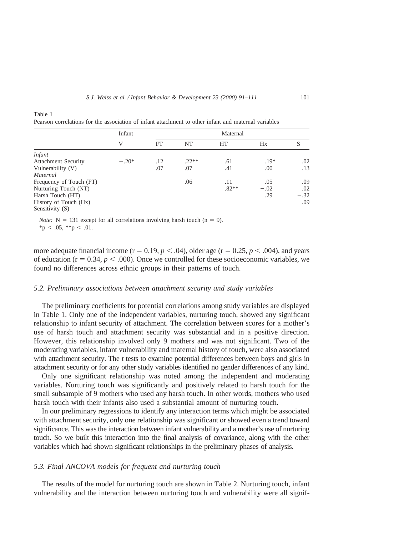| Pearson correlations for the association of infant attachment to other infant and maternal variables |  |
|------------------------------------------------------------------------------------------------------|--|
|------------------------------------------------------------------------------------------------------|--|

|                                          | Infant<br>V | Maternal |         |         |        |        |
|------------------------------------------|-------------|----------|---------|---------|--------|--------|
|                                          |             | FT       | NT      | HT      | Hx     | S      |
| <i>Infant</i>                            |             |          |         |         |        |        |
| <b>Attachment Security</b>               | $-.20*$     | .12      | $.22**$ | .61     | $.19*$ | .02    |
| Vulnerability (V)                        |             | .07      | .07     | $-.41$  | .00    | $-.13$ |
| Maternal                                 |             |          |         |         |        |        |
| Frequency of Touch (FT)                  |             |          | .06     | .11     | .05    | .09    |
| Nurturing Touch (NT)                     |             |          |         | $.82**$ | $-.02$ | .02    |
| Harsh Touch (HT)                         |             |          |         |         | .29    | $-.32$ |
| History of Touch (Hx)<br>Sensitivity (S) |             |          |         |         |        | .09    |

*Note:*  $N = 131$  except for all correlations involving harsh touch (n = 9).

 $*$ p < .05,  $*$  $p$  < .01.

more adequate financial income ( $r = 0.19$ ,  $p < .04$ ), older age ( $r = 0.25$ ,  $p < .004$ ), and years of education ( $r = 0.34$ ,  $p < .000$ ). Once we controlled for these socioeconomic variables, we found no differences across ethnic groups in their patterns of touch.

#### *5.2. Preliminary associations between attachment security and study variables*

The preliminary coefficients for potential correlations among study variables are displayed in Table 1. Only one of the independent variables, nurturing touch, showed any significant relationship to infant security of attachment. The correlation between scores for a mother's use of harsh touch and attachment security was substantial and in a positive direction. However, this relationship involved only 9 mothers and was not significant. Two of the moderating variables, infant vulnerability and maternal history of touch, were also associated with attachment security. The *t* tests to examine potential differences between boys and girls in attachment security or for any other study variables identified no gender differences of any kind.

Only one significant relationship was noted among the independent and moderating variables. Nurturing touch was significantly and positively related to harsh touch for the small subsample of 9 mothers who used any harsh touch. In other words, mothers who used harsh touch with their infants also used a substantial amount of nurturing touch.

In our preliminary regressions to identify any interaction terms which might be associated with attachment security, only one relationship was significant or showed even a trend toward significance. This was the interaction between infant vulnerability and a mother's use of nurturing touch. So we built this interaction into the final analysis of covariance, along with the other variables which had shown significant relationships in the preliminary phases of analysis.

# *5.3. Final ANCOVA models for frequent and nurturing touch*

The results of the model for nurturing touch are shown in Table 2. Nurturing touch, infant vulnerability and the interaction between nurturing touch and vulnerability were all signif-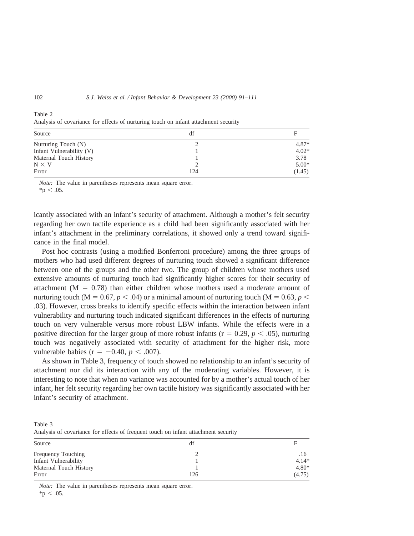| ۰ |  |
|---|--|
|   |  |

Analysis of covariance for effects of nurturing touch on infant attachment security

| Source                   | df  |         |  |
|--------------------------|-----|---------|--|
| Nurturing Touch (N)      |     | $4.87*$ |  |
| Infant Vulnerability (V) |     | $4.02*$ |  |
| Maternal Touch History   |     | 3.78    |  |
| $N \times V$             |     | $5.00*$ |  |
| Error                    | 124 | (1.45)  |  |

*Note:* The value in parentheses represents mean square error.  $*_{p} < .05.$ 

icantly associated with an infant's security of attachment. Although a mother's felt security regarding her own tactile experience as a child had been significantly associated with her infant's attachment in the preliminary correlations, it showed only a trend toward significance in the final model.

Post hoc contrasts (using a modified Bonferroni procedure) among the three groups of mothers who had used different degrees of nurturing touch showed a significant difference between one of the groups and the other two. The group of children whose mothers used extensive amounts of nurturing touch had significantly higher scores for their security of attachment ( $M = 0.78$ ) than either children whose mothers used a moderate amount of nurturing touch (M = 0.67,  $p < .04$ ) or a minimal amount of nurturing touch (M = 0.63,  $p <$ .03). However, cross breaks to identify specific effects within the interaction between infant vulnerability and nurturing touch indicated significant differences in the effects of nurturing touch on very vulnerable versus more robust LBW infants. While the effects were in a positive direction for the larger group of more robust infants ( $r = 0.29$ ,  $p < .05$ ), nurturing touch was negatively associated with security of attachment for the higher risk, more vulnerable babies ( $r = -0.40$ ,  $p < .007$ ).

As shown in Table 3, frequency of touch showed no relationship to an infant's security of attachment nor did its interaction with any of the moderating variables. However, it is interesting to note that when no variance was accounted for by a mother's actual touch of her infant, her felt security regarding her own tactile history was significantly associated with her infant's security of attachment.

Table 3 Analysis of covariance for effects of frequent touch on infant attachment security

| Source                 |     |         |
|------------------------|-----|---------|
| Frequency Touching     |     | .16     |
| Infant Vulnerability   |     | $4.14*$ |
| Maternal Touch History |     | $4.80*$ |
| Error                  | 126 | (4.75)  |

*Note:* The value in parentheses represents mean square error.

 $*_{p} < .05.$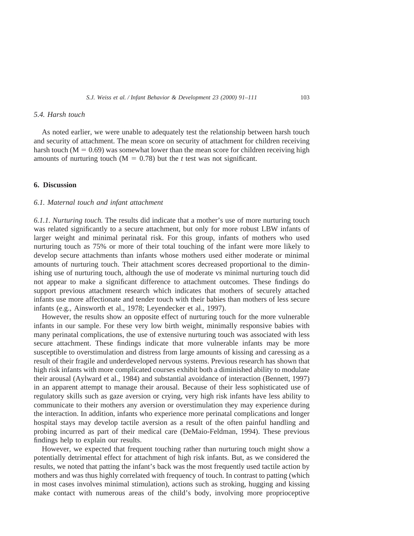### *5.4. Harsh touch*

As noted earlier, we were unable to adequately test the relationship between harsh touch and security of attachment. The mean score on security of attachment for children receiving harsh touch ( $M = 0.69$ ) was somewhat lower than the mean score for children receiving high amounts of nurturing touch ( $M = 0.78$ ) but the *t* test was not significant.

### **6. Discussion**

### *6.1. Maternal touch and infant attachment*

*6.1.1. Nurturing touch.* The results did indicate that a mother's use of more nurturing touch was related significantly to a secure attachment, but only for more robust LBW infants of larger weight and minimal perinatal risk. For this group, infants of mothers who used nurturing touch as 75% or more of their total touching of the infant were more likely to develop secure attachments than infants whose mothers used either moderate or minimal amounts of nurturing touch. Their attachment scores decreased proportional to the diminishing use of nurturing touch, although the use of moderate vs minimal nurturing touch did not appear to make a significant difference to attachment outcomes. These findings do support previous attachment research which indicates that mothers of securely attached infants use more affectionate and tender touch with their babies than mothers of less secure infants (e.g., Ainsworth et al., 1978; Leyendecker et al., 1997).

However, the results show an opposite effect of nurturing touch for the more vulnerable infants in our sample. For these very low birth weight, minimally responsive babies with many perinatal complications, the use of extensive nurturing touch was associated with less secure attachment. These findings indicate that more vulnerable infants may be more susceptible to overstimulation and distress from large amounts of kissing and caressing as a result of their fragile and underdeveloped nervous systems. Previous research has shown that high risk infants with more complicated courses exhibit both a diminished ability to modulate their arousal (Aylward et al., 1984) and substantial avoidance of interaction (Bennett, 1997) in an apparent attempt to manage their arousal. Because of their less sophisticated use of regulatory skills such as gaze aversion or crying, very high risk infants have less ability to communicate to their mothers any aversion or overstimulation they may experience during the interaction. In addition, infants who experience more perinatal complications and longer hospital stays may develop tactile aversion as a result of the often painful handling and probing incurred as part of their medical care (DeMaio-Feldman, 1994). These previous findings help to explain our results.

However, we expected that frequent touching rather than nurturing touch might show a potentially detrimental effect for attachment of high risk infants. But, as we considered the results, we noted that patting the infant's back was the most frequently used tactile action by mothers and was thus highly correlated with frequency of touch. In contrast to patting (which in most cases involves minimal stimulation), actions such as stroking, hugging and kissing make contact with numerous areas of the child's body, involving more proprioceptive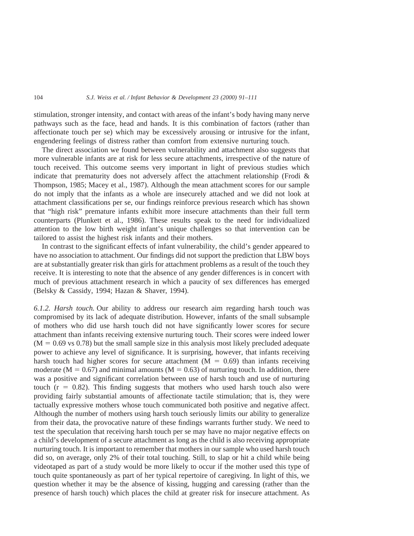stimulation, stronger intensity, and contact with areas of the infant's body having many nerve pathways such as the face, head and hands. It is this combination of factors (rather than affectionate touch per se) which may be excessively arousing or intrusive for the infant, engendering feelings of distress rather than comfort from extensive nurturing touch.

The direct association we found between vulnerability and attachment also suggests that more vulnerable infants are at risk for less secure attachments, irrespective of the nature of touch received. This outcome seems very important in light of previous studies which indicate that prematurity does not adversely affect the attachment relationship (Frodi  $\&$ Thompson, 1985; Macey et al., 1987). Although the mean attachment scores for our sample do not imply that the infants as a whole are insecurely attached and we did not look at attachment classifications per se, our findings reinforce previous research which has shown that "high risk" premature infants exhibit more insecure attachments than their full term counterparts (Plunkett et al., 1986). These results speak to the need for individualized attention to the low birth weight infant's unique challenges so that intervention can be tailored to assist the highest risk infants and their mothers.

In contrast to the significant effects of infant vulnerability, the child's gender appeared to have no association to attachment. Our findings did not support the prediction that LBW boys are at substantially greater risk than girls for attachment problems as a result of the touch they receive. It is interesting to note that the absence of any gender differences is in concert with much of previous attachment research in which a paucity of sex differences has emerged (Belsky & Cassidy, 1994; Hazan & Shaver, 1994).

*6.1.2. Harsh touch.* Our ability to address our research aim regarding harsh touch was compromised by its lack of adequate distribution. However, infants of the small subsample of mothers who did use harsh touch did not have significantly lower scores for secure attachment than infants receiving extensive nurturing touch. Their scores were indeed lower  $(M = 0.69 \text{ vs } 0.78)$  but the small sample size in this analysis most likely precluded adequate power to achieve any level of significance. It is surprising, however, that infants receiving harsh touch had higher scores for secure attachment ( $M = 0.69$ ) than infants receiving moderate ( $M = 0.67$ ) and minimal amounts ( $M = 0.63$ ) of nurturing touch. In addition, there was a positive and significant correlation between use of harsh touch and use of nurturing touch  $(r = 0.82)$ . This finding suggests that mothers who used harsh touch also were providing fairly substantial amounts of affectionate tactile stimulation; that is, they were tactually expressive mothers whose touch communicated both positive and negative affect. Although the number of mothers using harsh touch seriously limits our ability to generalize from their data, the provocative nature of these findings warrants further study. We need to test the speculation that receiving harsh touch per se may have no major negative effects on a child's development of a secure attachment as long as the child is also receiving appropriate nurturing touch. It is important to remember that mothers in our sample who used harsh touch did so, on average, only 2% of their total touching. Still, to slap or hit a child while being videotaped as part of a study would be more likely to occur if the mother used this type of touch quite spontaneously as part of her typical repertoire of caregiving. In light of this, we question whether it may be the absence of kissing, hugging and caressing (rather than the presence of harsh touch) which places the child at greater risk for insecure attachment. As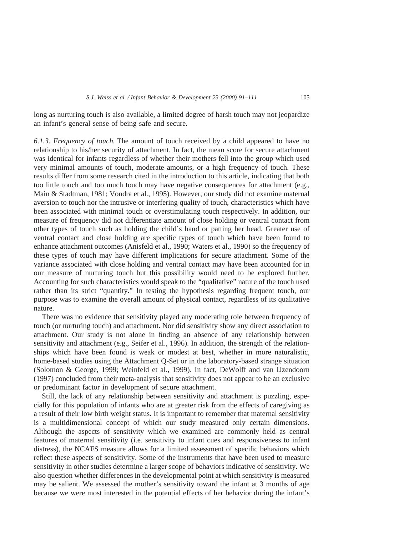long as nurturing touch is also available, a limited degree of harsh touch may not jeopardize an infant's general sense of being safe and secure.

*6.1.3. Frequency of touch.* The amount of touch received by a child appeared to have no relationship to his/her security of attachment. In fact, the mean score for secure attachment was identical for infants regardless of whether their mothers fell into the group which used very minimal amounts of touch, moderate amounts, or a high frequency of touch. These results differ from some research cited in the introduction to this article, indicating that both too little touch and too much touch may have negative consequences for attachment (e.g., Main & Stadtman, 1981; Vondra et al., 1995). However, our study did not examine maternal aversion to touch nor the intrusive or interfering quality of touch, characteristics which have been associated with minimal touch or overstimulating touch respectively. In addition, our measure of frequency did not differentiate amount of close holding or ventral contact from other types of touch such as holding the child's hand or patting her head. Greater use of ventral contact and close holding are specific types of touch which have been found to enhance attachment outcomes (Anisfeld et al., 1990; Waters et al., 1990) so the frequency of these types of touch may have different implications for secure attachment. Some of the variance associated with close holding and ventral contact may have been accounted for in our measure of nurturing touch but this possibility would need to be explored further. Accounting for such characteristics would speak to the "qualitative" nature of the touch used rather than its strict "quantity." In testing the hypothesis regarding frequent touch, our purpose was to examine the overall amount of physical contact, regardless of its qualitative nature.

There was no evidence that sensitivity played any moderating role between frequency of touch (or nurturing touch) and attachment. Nor did sensitivity show any direct association to attachment. Our study is not alone in finding an absence of any relationship between sensitivity and attachment (e.g., Seifer et al., 1996). In addition, the strength of the relationships which have been found is weak or modest at best, whether in more naturalistic, home-based studies using the Attachment Q-Set or in the laboratory-based strange situation (Solomon & George, 1999; Weinfeld et al., 1999). In fact, DeWolff and van IJzendoorn (1997) concluded from their meta-analysis that sensitivity does not appear to be an exclusive or predominant factor in development of secure attachment.

Still, the lack of any relationship between sensitivity and attachment is puzzling, especially for this population of infants who are at greater risk from the effects of caregiving as a result of their low birth weight status. It is important to remember that maternal sensitivity is a multidimensional concept of which our study measured only certain dimensions. Although the aspects of sensitivity which we examined are commonly held as central features of maternal sensitivity (i.e. sensitivity to infant cues and responsiveness to infant distress), the NCAFS measure allows for a limited assessment of specific behaviors which reflect these aspects of sensitivity. Some of the instruments that have been used to measure sensitivity in other studies determine a larger scope of behaviors indicative of sensitivity. We also question whether differences in the developmental point at which sensitivity is measured may be salient. We assessed the mother's sensitivity toward the infant at 3 months of age because we were most interested in the potential effects of her behavior during the infant's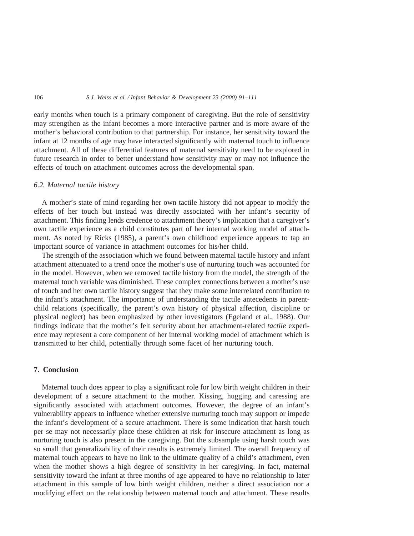early months when touch is a primary component of caregiving. But the role of sensitivity may strengthen as the infant becomes a more interactive partner and is more aware of the mother's behavioral contribution to that partnership. For instance, her sensitivity toward the infant at 12 months of age may have interacted significantly with maternal touch to influence attachment. All of these differential features of maternal sensitivity need to be explored in future research in order to better understand how sensitivity may or may not influence the effects of touch on attachment outcomes across the developmental span.

# *6.2. Maternal tactile history*

A mother's state of mind regarding her own tactile history did not appear to modify the effects of her touch but instead was directly associated with her infant's security of attachment. This finding lends credence to attachment theory's implication that a caregiver's own tactile experience as a child constitutes part of her internal working model of attachment. As noted by Ricks (1985), a parent's own childhood experience appears to tap an important source of variance in attachment outcomes for his/her child.

The strength of the association which we found between maternal tactile history and infant attachment attenuated to a trend once the mother's use of nurturing touch was accounted for in the model. However, when we removed tactile history from the model, the strength of the maternal touch variable was diminished. These complex connections between a mother's use of touch and her own tactile history suggest that they make some interrelated contribution to the infant's attachment. The importance of understanding the tactile antecedents in parentchild relations (specifically, the parent's own history of physical affection, discipline or physical neglect) has been emphasized by other investigators (Egeland et al., 1988). Our findings indicate that the mother's felt security about her attachment-related *tactile* experience may represent a core component of her internal working model of attachment which is transmitted to her child, potentially through some facet of her nurturing touch.

## **7. Conclusion**

Maternal touch does appear to play a significant role for low birth weight children in their development of a secure attachment to the mother. Kissing, hugging and caressing are significantly associated with attachment outcomes. However, the degree of an infant's vulnerability appears to influence whether extensive nurturing touch may support or impede the infant's development of a secure attachment. There is some indication that harsh touch per se may not necessarily place these children at risk for insecure attachment as long as nurturing touch is also present in the caregiving. But the subsample using harsh touch was so small that generalizability of their results is extremely limited. The overall frequency of maternal touch appears to have no link to the ultimate quality of a child's attachment, even when the mother shows a high degree of sensitivity in her caregiving. In fact, maternal sensitivity toward the infant at three months of age appeared to have no relationship to later attachment in this sample of low birth weight children, neither a direct association nor a modifying effect on the relationship between maternal touch and attachment. These results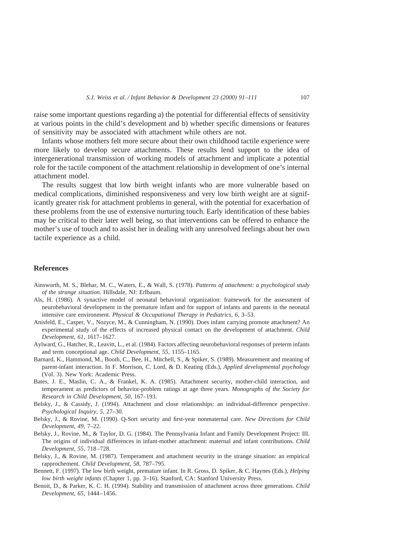raise some important questions regarding a) the potential for differential effects of sensitivity at various points in the child's development and b) whether specific dimensions or features of sensitivity may be associated with attachment while others are not.

Infants whose mothers felt more secure about their own childhood tactile experience were more likely to develop secure attachments. These results lend support to the idea of intergenerational transmission of working models of attachment and implicate a potential role for the tactile component of the attachment relationship in development of one's internal attachment model.

The results suggest that low birth weight infants who are more vulnerable based on medical complications, diminished responsiveness and very low birth weight are at significantly greater risk for attachment problems in general, with the potential for exacerbation of these problems from the use of extensive nurturing touch. Early identification of these babies may be critical to their later well being, so that interventions can be offered to enhance the mother's use of touch and to assist her in dealing with any unresolved feelings about her own tactile experience as a child.

#### **References**

- Ainsworth, M. S., Blehar, M. C., Waters, E., & Wall, S. (1978). *Patterns of attachment: a psychological study of the strange situation.* Hillsdale, NJ: Erlbaum.
- Als, H. (1986). A synactive model of neonatal behavioral organization: framework for the assessment of neurobehavioral development in the premature infant and for support of infants and parents in the neonatal intensive care environment. *Physical & Occupational Therapy in Pediatrics, 6,* 3–53.
- Anisfeld, E., Casper, V., Nozyce, M., & Cunningham, N. (1990). Does infant carrying promote attachment? An experimental study of the effects of increased physical contact on the development of attachment. *Child Development, 61,* 1617–1627.
- Aylward, G., Hatcher, R., Leavitt, L., et al. (1984). Factors affecting neurobehavioral responses of preterm infants and term conceptional age. *Child Development, 55,* 1155–1165.
- Barnard, K., Hammond, M., Booth, C., Bee, H., Mitchell, S., & Spiker, S. (1989). Measurement and meaning of parent-infant interaction. In F. Morrison, C. Lord, & D. Keating (Eds.), *Applied developmental psychology* (Vol. 3). New York: Academic Press.
- Bates, J. E., Maslin, C. A., & Frankel, K. A. (1985). Attachment security, mother-child interaction, and temperament as predictors of behavior-problem ratings at age three years. *Monographs of the Society for Research in Child Development, 50,* 167–193.
- Belsky, J., & Cassidy, J. (1994). Attachment and close relationships: an individual-difference perspective. *Psychological Inquiry, 5,* 27–30.
- Belsky, J., & Rovine, M. (1990). Q-Sort security and first-year nonmaternal care. *New Directions for Child Development, 49,* 7–22.
- Belsky, J., Rovine, M., & Taylor, D. G. (1984). The Pennsylvania Infant and Family Development Project: III. The origins of individual differences in infant-mother attachment: maternal and infant contributions. *Child Development, 55,* 718–728.
- Belsky, J., & Rovine, M. (1987). Temperament and attachment security in the strange situation: an empirical rapprochement. *Child Development, 58,* 787–795.
- Bennett, F. (1997). The low birth weight, premature infant. In R. Gross, D. Spiker, & C. Haynes (Eds.), *Helping low birth weight infants* (Chapter 1, pp. 3–16). Stanford, CA: Stanford University Press.
- Benoit, D., & Parker, K. C. H. (1994). Stability and transmission of attachment across three generations. *Child Development, 65,* 1444–1456.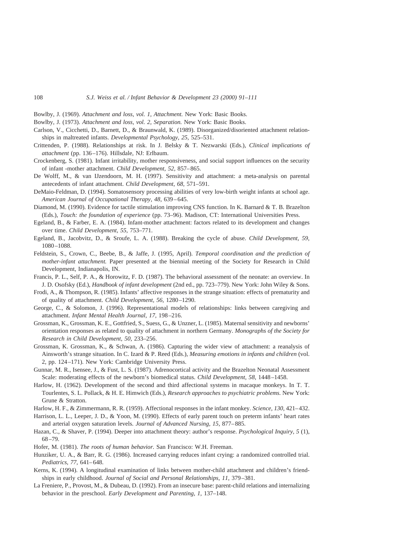- Bowlby, J. (1969). *Attachment and loss, vol. 1, Attachment.* New York: Basic Books.
- Bowlby, J. (1973). *Attachment and loss, vol. 2, Separation.* New York: Basic Books.
- Carlson, V., Cicchetti, D., Barnett, D., & Braunwald, K. (1989). Disorganized/disoriented attachment relationships in maltreated infants. *Developmental Psychology, 25,* 525–531.
- Crittenden, P. (1988). Relationships at risk. In J. Belsky & T. Nezwarski (Eds.), *Clinical implications of attachment* (pp. 136–176). Hillsdale, NJ: Erlbaum.
- Crockenberg, S. (1981). Infant irritability, mother responsiveness, and social support influences on the security of infant -mother attachment. *Child Development, 52,* 857–865.
- De Wolff, M., & van IJzendoorn, M. H. (1997). Sensitivity and attachment: a meta-analysis on parental antecedents of infant attachment. *Child Development, 68,* 571–591.
- DeMaio-Feldman, D. (1994). Somatosensory processing abilities of very low-birth weight infants at school age. *American Journal of Occupational Therapy, 48,* 639–645.
- Diamond, M. (1990). Evidence for tactile stimulation improving CNS function. In K. Barnard & T. B. Brazelton (Eds.), *Touch: the foundation of experience* (pp. 73–96). Madison, CT: International Universities Press.
- Egeland, B., & Farber, E. A. (1984). Infant-mother attachment: factors related to its development and changes over time. *Child Development, 55,* 753–771.
- Egeland, B., Jacobvitz, D., & Sroufe, L. A. (1988). Breaking the cycle of abuse. *Child Development, 59,* 1080–1088.
- Feldstein, S., Crown, C., Beebe, B., & Jaffe, J. (1995, April). *Temporal coordination and the prediction of mother-infant attachment.* Paper presented at the biennial meeting of the Society for Research in Child Development, Indianapolis, IN.
- Francis, P. L., Self, P. A., & Horowitz, F. D. (1987). The behavioral assessment of the neonate: an overview. In J. D. Osofsky (Ed.), *Handbook of infant development* (2nd ed., pp. 723–779). New York: John Wiley & Sons.
- Frodi, A., & Thompson, R. (1985). Infants' affective responses in the strange situation: effects of prematurity and of quality of attachment. *Child Development, 56,* 1280–1290.
- George, C., & Solomon, J. (1996). Representational models of relationships: links between caregiving and attachment. *Infant Mental Health Journal, 17,* 198–216.
- Grossman, K., Grossman, K. E., Gottfried, S., Suess, G., & Unzner, L. (1985). Maternal sensitivity and newborns' orientation responses as related to quality of attachment in northern Germany. *Monographs of the Society for Research in Child Development, 50,* 233–256.
- Grossman, K. Grossman, K., & Schwan, A. (1986). Capturing the wider view of attachment: a reanalysis of Ainsworth's strange situation. In C. Izard & P. Reed (Eds.), *Measuring emotions in infants and children* (vol. 2, pp. 124–171). New York: Cambridge University Press.
- Gunnar, M. R., Isensee, J., & Fust, L. S. (1987). Adrenocortical activity and the Brazelton Neonatal Assessment Scale: moderating effects of the newborn's biomedical status. *Child Development, 58,* 1448–1458.
- Harlow, H. (1962). Development of the second and third affectional systems in macaque monkeys. In T. T. Tourlentes, S. L. Pollack, & H. E. Himwich (Eds.), *Research approaches to psychiatric problems.* New York: Grune & Stratton.
- Harlow, H. F., & Zimmermann, R. R. (1959). Affectional responses in the infant monkey. *Science, 130,* 421–432.
- Harrison, L. L., Leeper, J. D., & Yoon, M. (1990). Effects of early parent touch on preterm infants' heart rates and arterial oxygen saturation levels. *Journal of Advanced Nursing, 15,* 877–885.
- Hazan, C., & Shaver, P. (1994). Deeper into attachment theory: author's response. *Psychological Inquiry, 5* (1), 68–79.
- Hofer, M. (1981). *The roots of human behavior.* San Francisco: W.H. Freeman.
- Hunziker, U. A., & Barr, R. G. (1986). Increased carrying reduces infant crying: a randomized controlled trial. *Pediatrics, 77,* 641–648.
- Kerns, K. (1994). A longitudinal examination of links between mother-child attachment and children's friendships in early childhood. *Journal of Social and Personal Relationships, 11,* 379–381.
- La Freniere, P., Provost, M., & Dubeau, D. (1992). From an insecure base: parent-child relations and internalizing behavior in the preschool. *Early Development and Parenting, 1,* 137–148.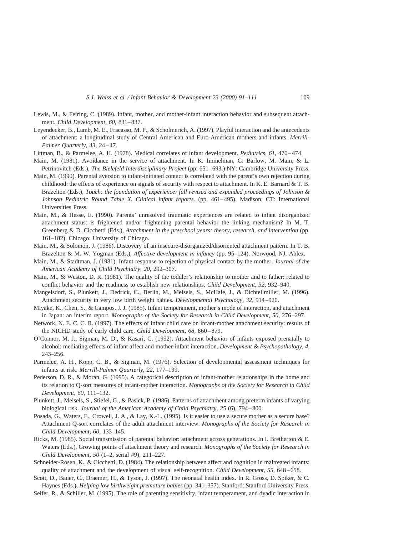- Lewis, M., & Feiring, C. (1989). Infant, mother, and mother-infant interaction behavior and subsequent attachment. *Child Development, 60,* 831–837.
- Leyendecker, B., Lamb, M. E., Fracasso, M. P., & Scholmerich, A. (1997). Playful interaction and the antecedents of attachment: a longitudinal study of Central American and Euro-American mothers and infants. *Merrill-Palmer Quarterly, 43,* 24–47.
- Littman, B., & Parmelee, A. H. (1978). Medical correlates of infant development. *Pediatrics, 61,* 470–474.
- Main, M. (1981). Avoidance in the service of attachment. In K. Immelman, G. Barlow, M. Main, & L. Petrinovitch (Eds.), *The Bielefeld Interdisciplinary Project* (pp. 651–693.) NY: Cambridge University Press.
- Main, M. (1990). Parental aversion to infant-initiated contact is correlated with the parent's own rejection during childhood: the effects of experience on signals of security with respect to attachment. In K. E. Barnard & T. B. Brazelton (Eds.), *Touch: the foundation of experience: full revised and expanded proceedings of Johnson & Johnson Pediatric Round Table X. Clinical infant reports.* (pp. 461–495). Madison, CT: International Universities Press.
- Main, M., & Hesse, E. (1990). Parents' unresolved traumatic experiences are related to infant disorganized attachment status: is frightened and/or frightening parental behavior the linking mechanism? In M. T. Greenberg & D. Cicchetti (Eds.), *Attachment in the preschool years: theory, research, and intervention* (pp. 161–182). Chicago: University of Chicago.
- Main, M., & Solomon, J. (1986). Discovery of an insecure-disorganized/disoriented attachment pattern. In T. B. Brazelton & M. W. Yogman (Eds.), *Affective development in infancy* (pp. 95–124). Norwood, NJ: Ablex.
- Main, M., & Stadtman, J. (1981). Infant response to rejection of physical contact by the mother. *Journal of the American Academy of Child Psychiatry, 20,* 292–307.
- Main, M., & Weston, D. R. (1981). The quality of the toddler's relationship to mother and to father: related to conflict behavior and the readiness to establish new relationships. *Child Development, 52,* 932–940.
- Mangelsdorf, S., Plunkett, J., Dedrick, C., Berlin, M., Meisels, S., McHale, J., & Dichtellmiller, M. (1996). Attachment security in very low birth weight babies. *Developmental Psychology, 32,* 914–920.
- Miyake, K., Chen, S., & Campos, J. J. (1985). Infant temperament, mother's mode of interaction, and attachment in Japan: an interim report. *Monographs of the Society for Research in Child Development, 50,* 276–297.
- Network, N. E. C. C. R. (1997). The effects of infant child care on infant-mother attachment security: results of the NICHD study of early child care. *Child Development, 68,* 860–879.
- O'Connor, M. J., Sigman, M. D., & Kasari, C. (1992). Attachment behavior of infants exposed prenatally to alcohol: mediating effects of infant affect and mother-infant interaction. *Development & Psychopathology, 4,* 243–256.
- Parmelee, A. H., Kopp, C. B., & Sigman, M. (1976). Selection of developmental assessment techniques for infants at risk. *Merrill-Palmer Quarterly, 22,* 177–199.
- Pederson, D. R., & Moran, G. (1995). A categorical description of infant-mother relationships in the home and its relation to Q-sort measures of infant-mother interaction. *Monographs of the Society for Research in Child Development, 60,* 111–132.
- Plunkett, J., Meisels, S., Stiefel, G., & Pasick, P. (1986). Patterns of attachment among preterm infants of varying biological risk. *Journal of the American Academy of Child Psychiatry, 25* (6), 794–800.
- Posada, G., Waters, E., Crowell, J. A., & Lay, K.-L. (1995). Is it easier to use a secure mother as a secure base? Attachment Q-sort correlates of the adult attachment interview. *Monographs of the Society for Research in Child Development, 60,* 133–145.
- Ricks, M. (1985). Social transmission of parental behavior: attachment across generations. In I. Bretherton & E. Waters (Eds.), Growing points of attachment theory and research. *Monographs of the Society for Research in Child Development, 50* (1–2, serial #9), 211–227.
- Schneider-Rosen, K., & Cicchetti, D. (1984). The relationship between affect and cognition in maltreated infants: quality of attachment and the development of visual self-recognition. *Child Development, 55,* 648–658.

Scott, D., Bauer, C., Draemer, H., & Tyson, J. (1997). The neonatal health index. In R. Gross, D. Spiker, & C. Haynes (Eds.), *Helping low birthweight premature babies* (pp. 341–357). Stanford: Stanford University Press.

Seifer, R., & Schiller, M. (1995). The role of parenting sensitivity, infant temperament, and dyadic interaction in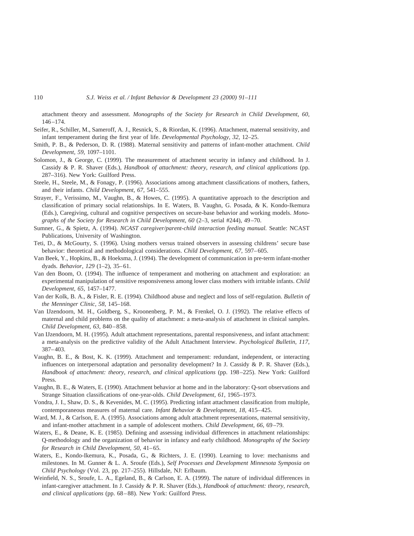attachment theory and assessment. *Monographs of the Society for Research in Child Development, 60,* 146–174.

- Seifer, R., Schiller, M., Sameroff, A. J., Resnick, S., & Riordan, K. (1996). Attachment, maternal sensitivity, and infant temperament during the first year of life. *Developmental Psychology, 32,* 12–25.
- Smith, P. B., & Pederson, D. R. (1988). Maternal sensitivity and patterns of infant-mother attachment. *Child Development, 59,* 1097–1101.
- Solomon, J., & George, C. (1999). The measurement of attachment security in infancy and childhood. In J. Cassidy & P. R. Shaver (Eds.), *Handbook of attachment: theory, research, and clinical applications* (pp. 287–316). New York: Guilford Press.
- Steele, H., Steele, M., & Fonagy, P. (1996). Associations among attachment classifications of mothers, fathers, and their infants. *Child Development, 67,* 541–555.
- Strayer, F., Verissimo, M., Vaughn, B., & Howes, C. (1995). A quantitative approach to the description and classification of primary social relationships. In E. Waters, B. Vaughn, G. Posada, & K. Kondo-Ikemura (Eds.), Caregiving, cultural and cognitive perspectives on secure-base behavior and working models. *Monographs of the Society for Research in Child Development, 60* (2–3, serial #244), 49–70.
- Sumner, G., & Spietz, A. (1994). *NCAST caregiver/parent-child interaction feeding manual.* Seattle: NCAST Publications, University of Washington.
- Teti, D., & McGourty, S. (1996). Using mothers versus trained observers in assessing childrens' secure base behavior: theoretical and methodological considerations. *Child Development, 67,* 597–605.
- Van Beek, Y., Hopkins, B., & Hoeksma, J. (1994). The development of communication in pre-term infant-mother dyads. *Behavior, 129* (1–2), 35–61.
- Van den Boom, O. (1994). The influence of temperament and mothering on attachment and exploration: an experimental manipulation of sensitive responsiveness among lower class mothers with irritable infants. *Child Development, 65,* 1457–1477.
- Van der Kolk, B. A., & Fisler, R. E. (1994). Childhood abuse and neglect and loss of self-regulation. *Bulletin of the Menninger Clinic, 58,* 145–168.
- Van IJzendoorn, M. H., Goldberg, S., Kroonenberg, P. M., & Frenkel, O. J. (1992). The relative effects of maternal and child problems on the quality of attachment: a meta-analysis of attachment in clinical samples. *Child Development, 63,* 840–858.
- Van IJzendoorn, M. H. (1995). Adult attachment representations, parental responsiveness, and infant attachment: a meta-analysis on the predictive validity of the Adult Attachment Interview. *Psychological Bulletin, 117,* 387–403.
- Vaughn, B. E., & Bost, K. K. (1999). Attachment and temperament: redundant, independent, or interacting influences on interpersonal adaptation and personality development? In J. Cassidy & P. R. Shaver (Eds.), *Handbook of attachment: theory, research, and clinical applications* (pp. 198–225). New York: Guilford Press.
- Vaughn, B. E., & Waters, E. (1990). Attachment behavior at home and in the laboratory: Q-sort observations and Strange Situation classifications of one-year-olds. *Child Development, 61,* 1965–1973.
- Vondra, J. I., Shaw, D. S., & Kevenides, M. C. (1995). Predicting infant attachment classification from multiple, contemporaneous measures of maternal care. *Infant Behavior & Development, 18,* 415–425.
- Ward, M. J., & Carlson, E. A. (1995). Associations among adult attachment representations, maternal sensitivity, and infant-mother attachment in a sample of adolescent mothers. *Child Development, 66,* 69–79.
- Waters, E., & Deane, K. E. (1985). Defining and assessing individual differences in attachment relationships: Q-methodology and the organization of behavior in infancy and early childhood. *Monographs of the Society for Research in Child Development, 50,* 41–65.
- Waters, E., Kondo-Ikemura, K., Posada, G., & Richters, J. E. (1990). Learning to love: mechanisms and milestones. In M. Gunner & L. A. Sroufe (Eds.), *Self Processes and Development Minnesota Symposia on Child Psychology* (Vol. 23, pp. 217–255). Hillsdale, NJ: Erlbaum.
- Weinfield, N. S., Sroufe, L. A., Egeland, B., & Carlson, E. A. (1999). The nature of individual differences in infant-caregiver attachment. In J. Cassidy & P. R. Shaver (Eds.), *Handbook of attachment: theory, research, and clinical applications* (pp. 68–88). New York: Guilford Press.